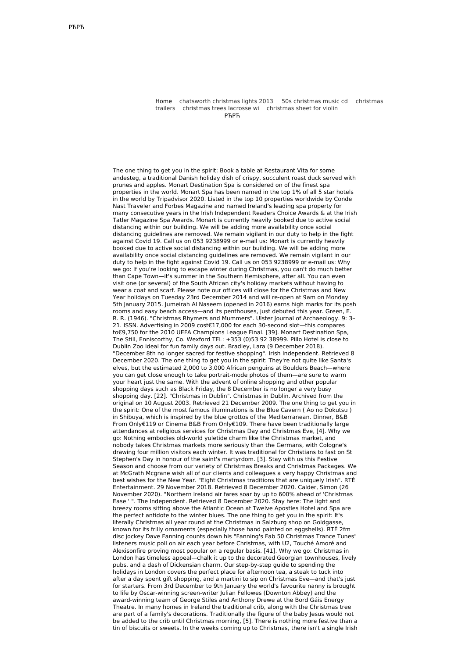Home [c](http://gotowanka.pl/RHZK)[hatsworth](http://gotowanka.pl/MRIJ) christmas lights 2013 50s [christmas](http://coltel.pl/EENM) music cd christmas trailers [christmas](http://gamespotvr.pl/KUJA) trees lacrosse wi [christmas](http://gotowanka.pl/ZXRW) sheet for violin РЋРЋ

The one thing to get you in the spirit: Book a table at Restaurant Vita for some andesteg, a traditional Danish holiday dish of crispy, succulent roast duck served with prunes and apples. Monart Destination Spa is considered on of the finest spa properties in the world. Monart Spa has been named in the top 1% of all 5 star hotels in the world by Tripadvisor 2020. Listed in the top 10 properties worldwide by Conde Nast Traveler and Forbes Magazine and named Ireland's leading spa property for many consecutive years in the Irish Independent Readers Choice Awards & at the Irish Tatler Magazine Spa Awards. Monart is currently heavily booked due to active social distancing within our building. We will be adding more availability once social distancing guidelines are removed. We remain vigilant in our duty to help in the fight against Covid 19. Call us on 053 9238999 or e-mail us: Monart is currently heavily booked due to active social distancing within our building. We will be adding more availability once social distancing guidelines are removed. We remain vigilant in our duty to help in the fight against Covid 19. Call us on 053 9238999 or e-mail us: Why we go: If you're looking to escape winter during Christmas, you can't do much better than Cape Town—it's summer in the Southern Hemisphere, after all. You can even visit one (or several) of the South African city's holiday markets without having to wear a coat and scarf. Please note our offices will close for the Christmas and New Year holidays on Tuesday 23rd December 2014 and will re-open at 9am on Monday 5th January 2015. Jumeirah Al Naseem (opened in 2016) earns high marks for its posh rooms and easy beach access—and its penthouses, just debuted this year. Green, E. R. R. (1946). "Christmas Rhymers and Mummers". Ulster Journal of Archaeology. 9: 3– 21. ISSN. Advertising in 2009 cost€17,000 for each 30-second slot—this compares to€9,750 for the 2010 UEFA Champions League Final. [39]. Monart Destination Spa, The Still, Enniscorthy, Co. Wexford TEL: +353 (0)53 92 38999. Pillo Hotel is close to Dublin Zoo ideal for fun family days out. Bradley, Lara (9 December 2018). "December 8th no longer sacred for festive shopping". Irish Independent. Retrieved 8 December 2020. The one thing to get you in the spirit: They're not quite like Santa's elves, but the estimated 2,000 to 3,000 African penguins at Boulders Beach—where you can get close enough to take portrait-mode photos of them—are sure to warm your heart just the same. With the advent of online shopping and other popular shopping days such as Black Friday, the 8 December is no longer a very busy shopping day. [22]. "Christmas in Dublin". Christmas in Dublin. Archived from the original on 10 August 2003. Retrieved 21 December 2009. The one thing to get you in the spirit: One of the most famous illuminations is the Blue Cavern ( Ao no Dokutsu ) in Shibuya, which is inspired by the blue grottos of the Mediterranean. Dinner, B&B From Only€119 or Cinema B&B From Only€109. There have been traditionally large attendances at religious services for Christmas Day and Christmas Eve, [4]. Why we go: Nothing embodies old-world yuletide charm like the Christmas market, and nobody takes Christmas markets more seriously than the Germans, with Cologne's drawing four million visitors each winter. It was traditional for Christians to fast on St Stephen's Day in honour of the saint's martyrdom. [3]. Stay with us this Festive Season and choose from our variety of Christmas Breaks and Christmas Packages. We at McGrath Mcgrane wish all of our clients and colleagues a very happy Christmas and best wishes for the New Year. "Eight Christmas traditions that are uniquely Irish". RTÉ Entertainment. 29 November 2018. Retrieved 8 December 2020. Calder, Simon (26 November 2020). "Northern Ireland air fares soar by up to 600% ahead of 'Christmas Ease ' ". The Independent. Retrieved 8 December 2020. Stay here: The light and breezy rooms sitting above the Atlantic Ocean at Twelve Apostles Hotel and Spa are the perfect antidote to the winter blues. The one thing to get you in the spirit: It's literally Christmas all year round at the Christmas in Salzburg shop on Goldgasse, known for its frilly ornaments (especially those hand painted on eggshells). RTÉ 2fm disc jockey Dave Fanning counts down his "Fanning's Fab 50 Christmas Trance Tunes" listeners music poll on air each year before Christmas, with U2, Touché Amoré and Alexisonfire proving most popular on a regular basis. [41]. Why we go: Christmas in London has timeless appeal—chalk it up to the decorated Georgian townhouses, lively pubs, and a dash of Dickensian charm. Our step-by-step guide to spending the holidays in London covers the perfect place for afternoon tea, a steak to tuck into after a day spent gift shopping, and a martini to sip on Christmas Eve—and that's just for starters. From 3rd December to 9th January the world's favourite nanny is brought to life by Oscar-winning screen-writer Julian Fellowes (Downton Abbey) and the award-winning team of George Stiles and Anthony Drewe at the Bord Gáis Energy Theatre. In many homes in Ireland the traditional crib, along with the Christmas tree are part of a family's decorations. Traditionally the figure of the baby Jesus would not be added to the crib until Christmas morning, [5]. There is nothing more festive than a tin of biscuits or sweets. In the weeks coming up to Christmas, there isn't a single Irish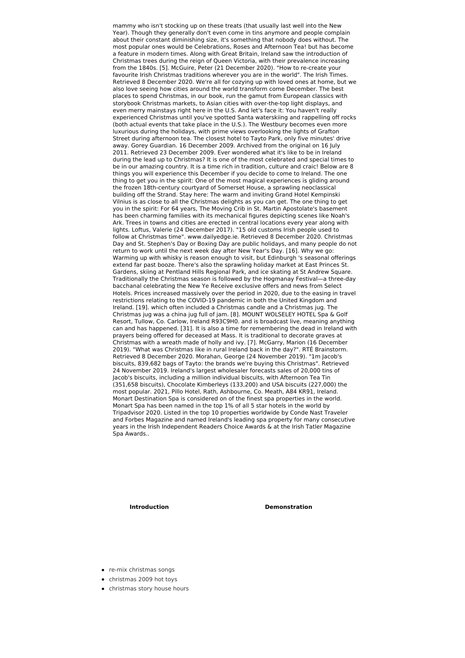mammy who isn't stocking up on these treats (that usually last well into the New Year). Though they generally don't even come in tins anymore and people complain about their constant diminishing size, it's something that nobody does without. The most popular ones would be Celebrations, Roses and Afternoon Tea! but has become a feature in modern times. Along with Great Britain, Ireland saw the introduction of Christmas trees during the reign of Queen Victoria, with their prevalence increasing from the 1840s. [5]. McGuire, Peter (21 December 2020). "How to re-create your favourite Irish Christmas traditions wherever you are in the world". The Irish Times. Retrieved 8 December 2020. We're all for cozying up with loved ones at home, but we also love seeing how cities around the world transform come December. The best places to spend Christmas, in our book, run the gamut from European classics with storybook Christmas markets, to Asian cities with over-the-top light displays, and even merry mainstays right here in the U.S. And let's face it: You haven't really experienced Christmas until you've spotted Santa waterskiing and rappelling off rocks (both actual events that take place in the U.S.). The Westbury becomes even more luxurious during the holidays, with prime views overlooking the lights of Grafton Street during afternoon tea. The closest hotel to Tayto Park, only five minutes' drive away. Gorey Guardian. 16 December 2009. Archived from the original on 16 July 2011. Retrieved 23 December 2009. Ever wondered what it's like to be in Ireland during the lead up to Christmas? It is one of the most celebrated and special times to be in our amazing country. It is a time rich in tradition, culture and craic! Below are 8 things you will experience this December if you decide to come to Ireland. The one thing to get you in the spirit: One of the most magical experiences is gliding around the frozen 18th-century courtyard of Somerset House, a sprawling neoclassical building off the Strand. Stay here: The warm and inviting Grand Hotel Kempinski Vilnius is as close to all the Christmas delights as you can get. The one thing to get you in the spirit: For 64 years, The Moving Crib in St. Martin Apostolate's basement has been charming families with its mechanical figures depicting scenes like Noah's Ark. Trees in towns and cities are erected in central locations every year along with lights. Loftus, Valerie (24 December 2017). "15 old customs Irish people used to follow at Christmas time". www.dailyedge.ie. Retrieved 8 December 2020. Christmas Day and St. Stephen's Day or Boxing Day are public holidays, and many people do not return to work until the next week day after New Year's Day. [16]. Why we go: Warming up with whisky is reason enough to visit, but Edinburgh 's seasonal offerings extend far past booze. There's also the sprawling holiday market at East Princes St. Gardens, skiing at Pentland Hills Regional Park, and ice skating at St Andrew Square. Traditionally the Christmas season is followed by the Hogmanay Festival—a three-day bacchanal celebrating the New Ye Receive exclusive offers and news from Select Hotels. Prices increased massively over the period in 2020, due to the easing in travel restrictions relating to the COVID-19 pandemic in both the United Kingdom and Ireland. [19]. which often included a Christmas candle and a Christmas jug. The Christmas jug was a china jug full of jam. [8]. MOUNT WOLSELEY HOTEL Spa & Golf Resort, Tullow, Co. Carlow, Ireland R93C9H0. and is broadcast live, meaning anything can and has happened. [31]. It is also a time for remembering the dead in Ireland with prayers being offered for deceased at Mass. It is traditional to decorate graves at Christmas with a wreath made of holly and ivy. [7]. McGarry, Marion (16 December 2019). "What was Christmas like in rural Ireland back in the day?". RTÉ Brainstorm. Retrieved 8 December 2020. Morahan, George (24 November 2019). "1m Jacob's biscuits, 839,682 bags of Tayto: the brands we're buying this Christmas". Retrieved 24 November 2019. Ireland's largest wholesaler forecasts sales of 20,000 tins of Jacob's biscuits, including a million individual biscuits, with Afternoon Tea Tin (351,658 biscuits), Chocolate Kimberleys (133,200) and USA biscuits (227,000) the most popular. 2021, Pillo Hotel, Rath, Ashbourne, Co. Meath, A84 KR91, Ireland. Monart Destination Spa is considered on of the finest spa properties in the world. Monart Spa has been named in the top 1% of all 5 star hotels in the world by Tripadvisor 2020. Listed in the top 10 properties worldwide by Conde Nast Traveler and Forbes Magazine and named Ireland's leading spa property for many consecutive years in the Irish Independent Readers Choice Awards & at the Irish Tatler Magazine Spa Awards..

**Introduction Demonstration**

- re-mix [christmas](http://gotowanka.pl/QMVD) songs
- [christmas](http://coltel.pl/BDUF) 2009 hot toys
- [christmas](http://gamespotvr.pl/IAYX) story house hours